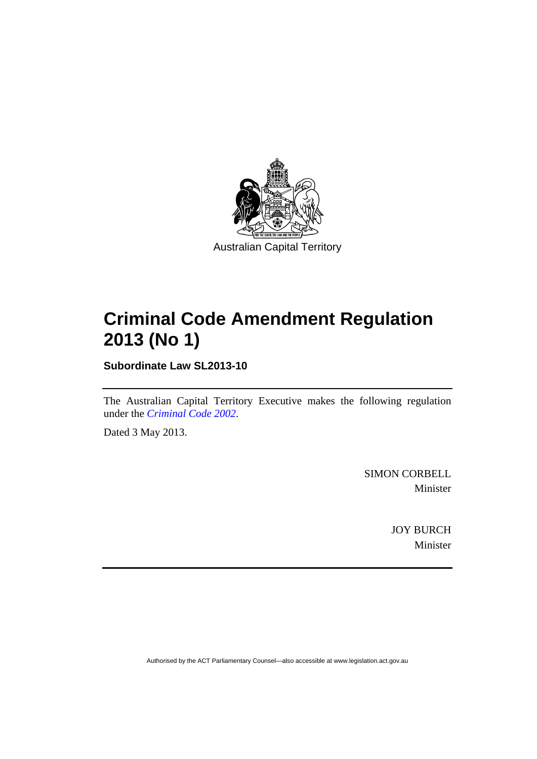

## **Criminal Code Amendment Regulation 2013 (No 1)**

**Subordinate Law SL2013-10** 

The Australian Capital Territory Executive makes the following regulation under the *[Criminal Code 2002](http://www.legislation.act.gov.au/a/2002-51)*.

Dated 3 May 2013.

SIMON CORBELL Minister

> JOY BURCH Minister

Authorised by the ACT Parliamentary Counsel—also accessible at www.legislation.act.gov.au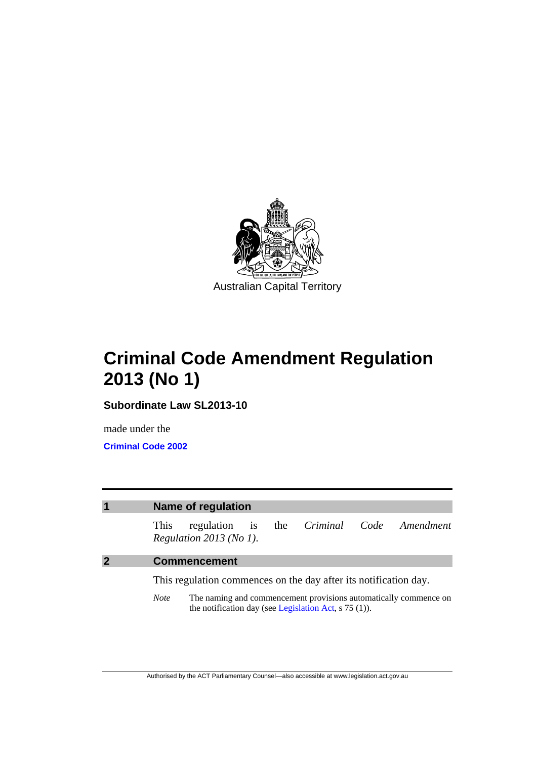

## **Criminal Code Amendment Regulation 2013 (No 1)**

**Subordinate Law SL2013-10** 

made under the **[Criminal Code 2002](http://www.legislation.act.gov.au/a/2002-51/default.asp)**



*Note* The naming and commencement provisions automatically commence on the notification day (see [Legislation Act,](http://www.legislation.act.gov.au/a/2001-14) s 75 (1)).

Authorised by the ACT Parliamentary Counsel—also accessible at www.legislation.act.gov.au